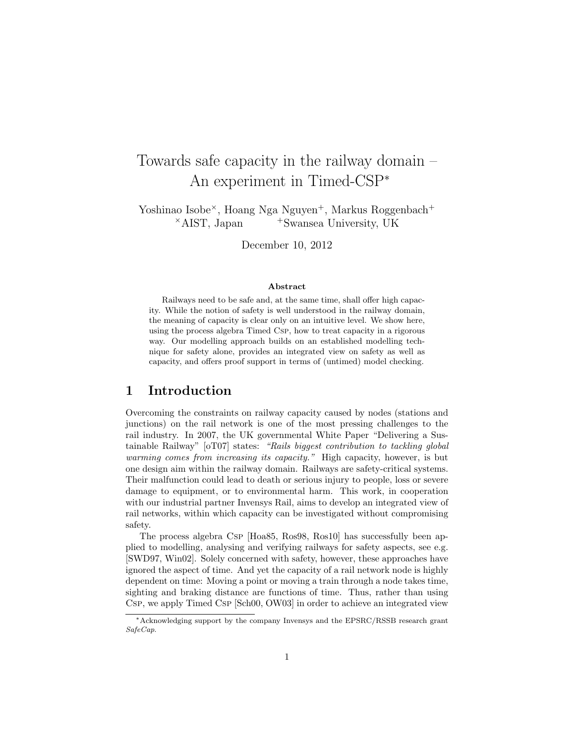# Towards safe capacity in the railway domain – An experiment in Timed-CSP<sup>∗</sup>

Yoshinao Isobe<sup>×</sup>, Hoang Nga Nguyen<sup>+</sup>, Markus Roggenbach<sup>+</sup>  $*$ AIST, Japan  $*$ Swansea University, UK

December 10, 2012

#### Abstract

Railways need to be safe and, at the same time, shall offer high capacity. While the notion of safety is well understood in the railway domain, the meaning of capacity is clear only on an intuitive level. We show here, using the process algebra Timed Csp, how to treat capacity in a rigorous way. Our modelling approach builds on an established modelling technique for safety alone, provides an integrated view on safety as well as capacity, and offers proof support in terms of (untimed) model checking.

### 1 Introduction

Overcoming the constraints on railway capacity caused by nodes (stations and junctions) on the rail network is one of the most pressing challenges to the rail industry. In 2007, the UK governmental White Paper "Delivering a Sustainable Railway" [oT07] states: "Rails biggest contribution to tackling global warming comes from increasing its capacity." High capacity, however, is but one design aim within the railway domain. Railways are safety-critical systems. Their malfunction could lead to death or serious injury to people, loss or severe damage to equipment, or to environmental harm. This work, in cooperation with our industrial partner Invensys Rail, aims to develop an integrated view of rail networks, within which capacity can be investigated without compromising safety.

The process algebra Csp [Hoa85, Ros98, Ros10] has successfully been applied to modelling, analysing and verifying railways for safety aspects, see e.g. [SWD97, Win02]. Solely concerned with safety, however, these approaches have ignored the aspect of time. And yet the capacity of a rail network node is highly dependent on time: Moving a point or moving a train through a node takes time, sighting and braking distance are functions of time. Thus, rather than using Csp, we apply Timed Csp [Sch00, OW03] in order to achieve an integrated view

<sup>∗</sup>Acknowledging support by the company Invensys and the EPSRC/RSSB research grant SafeCap.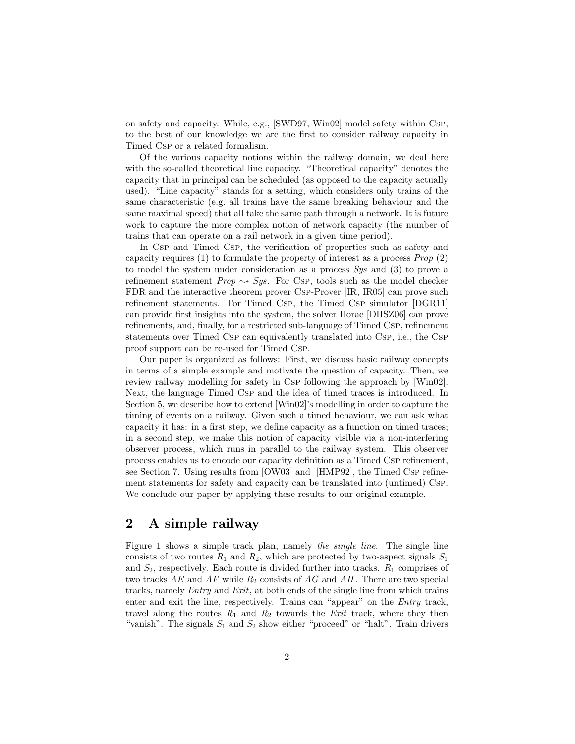on safety and capacity. While, e.g., [SWD97, Win02] model safety within Csp, to the best of our knowledge we are the first to consider railway capacity in Timed Csp or a related formalism.

Of the various capacity notions within the railway domain, we deal here with the so-called theoretical line capacity. "Theoretical capacity" denotes the capacity that in principal can be scheduled (as opposed to the capacity actually used). "Line capacity" stands for a setting, which considers only trains of the same characteristic (e.g. all trains have the same breaking behaviour and the same maximal speed) that all take the same path through a network. It is future work to capture the more complex notion of network capacity (the number of trains that can operate on a rail network in a given time period).

In Csp and Timed Csp, the verification of properties such as safety and capacity requires  $(1)$  to formulate the property of interest as a process *Prop*  $(2)$ to model the system under consideration as a process  $Sys$  and  $(3)$  to prove a refinement statement  $Prop \leadsto Sys.$  For Csp, tools such as the model checker FDR and the interactive theorem prover Csp-Prover [IR, IR05] can prove such refinement statements. For Timed Csp, the Timed Csp simulator [DGR11] can provide first insights into the system, the solver Horae [DHSZ06] can prove refinements, and, finally, for a restricted sub-language of Timed Csp, refinement statements over Timed Csp can equivalently translated into Csp, i.e., the Csp proof support can be re-used for Timed Csp.

Our paper is organized as follows: First, we discuss basic railway concepts in terms of a simple example and motivate the question of capacity. Then, we review railway modelling for safety in Csp following the approach by [Win02]. Next, the language Timed Csp and the idea of timed traces is introduced. In Section 5, we describe how to extend [Win02]'s modelling in order to capture the timing of events on a railway. Given such a timed behaviour, we can ask what capacity it has: in a first step, we define capacity as a function on timed traces; in a second step, we make this notion of capacity visible via a non-interfering observer process, which runs in parallel to the railway system. This observer process enables us to encode our capacity definition as a Timed Csp refinement, see Section 7. Using results from [OW03] and [HMP92], the Timed Csp refinement statements for safety and capacity can be translated into (untimed) Csp. We conclude our paper by applying these results to our original example.

### 2 A simple railway

Figure 1 shows a simple track plan, namely the single line. The single line consists of two routes  $R_1$  and  $R_2$ , which are protected by two-aspect signals  $S_1$ and  $S_2$ , respectively. Each route is divided further into tracks.  $R_1$  comprises of two tracks AE and AF while  $R_2$  consists of AG and AH. There are two special tracks, namely Entry and Exit, at both ends of the single line from which trains enter and exit the line, respectively. Trains can "appear" on the Entry track, travel along the routes  $R_1$  and  $R_2$  towards the *Exit* track, where they then "vanish". The signals  $S_1$  and  $S_2$  show either "proceed" or "halt". Train drivers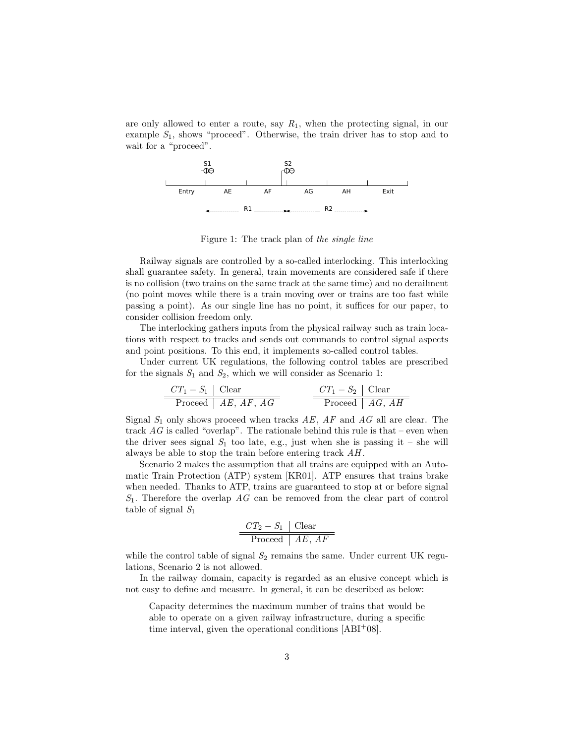are only allowed to enter a route, say  $R_1$ , when the protecting signal, in our example  $S_1$ , shows "proceed". Otherwise, the train driver has to stop and to wait for a "proceed".



Figure 1: The track plan of the single line

Railway signals are controlled by a so-called interlocking. This interlocking shall guarantee safety. In general, train movements are considered safe if there is no collision (two trains on the same track at the same time) and no derailment (no point moves while there is a train moving over or trains are too fast while passing a point). As our single line has no point, it suffices for our paper, to consider collision freedom only.

The interlocking gathers inputs from the physical railway such as train locations with respect to tracks and sends out commands to control signal aspects and point positions. To this end, it implements so-called control tables.

Under current UK regulations, the following control tables are prescribed for the signals  $S_1$  and  $S_2$ , which we will consider as Scenario 1:

$$
\frac{CT_1 - S_1 \mid Clear}{\text{Proceed} \mid AE, AF, AG} \qquad \frac{CT_1 - S_2 \mid Clear}{\text{Proceed} \mid AG, AH}
$$

Signal  $S_1$  only shows proceed when tracks  $AE$ ,  $AF$  and  $AG$  all are clear. The track  $AG$  is called "overlap". The rationale behind this rule is that – even when the driver sees signal  $S_1$  too late, e.g., just when she is passing it – she will always be able to stop the train before entering track AH .

Scenario 2 makes the assumption that all trains are equipped with an Automatic Train Protection (ATP) system [KR01]. ATP ensures that trains brake when needed. Thanks to ATP, trains are guaranteed to stop at or before signal  $S_1$ . Therefore the overlap AG can be removed from the clear part of control table of signal  $S_1$ 

$$
\begin{array}{c|c}\nCT_2-S_1 & \text{Clear} \\
\hline\n\text{Proceed} & AE, AF\n\end{array}
$$

while the control table of signal  $S_2$  remains the same. Under current UK regulations, Scenario 2 is not allowed.

In the railway domain, capacity is regarded as an elusive concept which is not easy to define and measure. In general, it can be described as below:

Capacity determines the maximum number of trains that would be able to operate on a given railway infrastructure, during a specific time interval, given the operational conditions [ABI+08].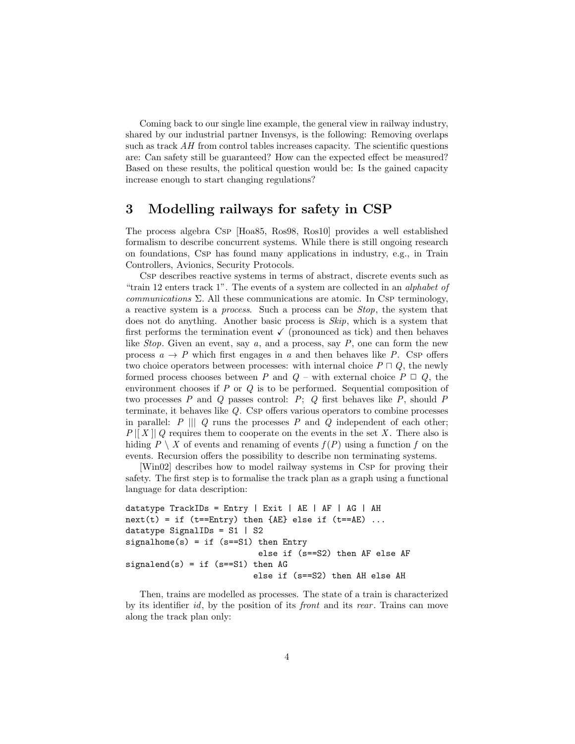Coming back to our single line example, the general view in railway industry, shared by our industrial partner Invensys, is the following: Removing overlaps such as track AH from control tables increases capacity. The scientific questions are: Can safety still be guaranteed? How can the expected effect be measured? Based on these results, the political question would be: Is the gained capacity increase enough to start changing regulations?

### 3 Modelling railways for safety in CSP

The process algebra Csp [Hoa85, Ros98, Ros10] provides a well established formalism to describe concurrent systems. While there is still ongoing research on foundations, Csp has found many applications in industry, e.g., in Train Controllers, Avionics, Security Protocols.

Csp describes reactive systems in terms of abstract, discrete events such as "train 12 enters track 1". The events of a system are collected in an alphabet of communications  $\Sigma$ . All these communications are atomic. In Csp terminology, a reactive system is a process. Such a process can be Stop, the system that does not do anything. Another basic process is  $Skip$ , which is a system that first performs the termination event  $\checkmark$  (pronounced as tick) and then behaves like *Stop*. Given an event, say  $a$ , and a process, say  $P$ , one can form the new process  $a \rightarrow P$  which first engages in a and then behaves like P. Csp offers two choice operators between processes: with internal choice  $P \sqcap Q$ , the newly formed process chooses between P and  $Q$  – with external choice  $P \Box Q$ , the environment chooses if P or Q is to be performed. Sequential composition of two processes P and Q passes control:  $P$ ; Q first behaves like P, should P terminate, it behaves like Q. Csp offers various operators to combine processes in parallel:  $P \parallel \parallel Q$  runs the processes P and Q independent of each other;  $P||X||Q$  requires them to cooperate on the events in the set X. There also is hiding  $P \setminus X$  of events and renaming of events  $f(P)$  using a function f on the events. Recursion offers the possibility to describe non terminating systems.

[Win02] describes how to model railway systems in Csp for proving their safety. The first step is to formalise the track plan as a graph using a functional language for data description:

```
datatype TrackIDS = Entry | Exit | AE | AF | AG | AH
next(t) = if (t == Entry) then {AE} else if (t == AE) ...datatype SignalIDs = S1 | S2
signalhome(s) = if (s==S1) then Entryelse if (s==S2) then AF else AF
signalend(s) = if (s==S1) then AGelse if (s==S2) then AH else AH
```
Then, trains are modelled as processes. The state of a train is characterized by its identifier id, by the position of its front and its rear . Trains can move along the track plan only: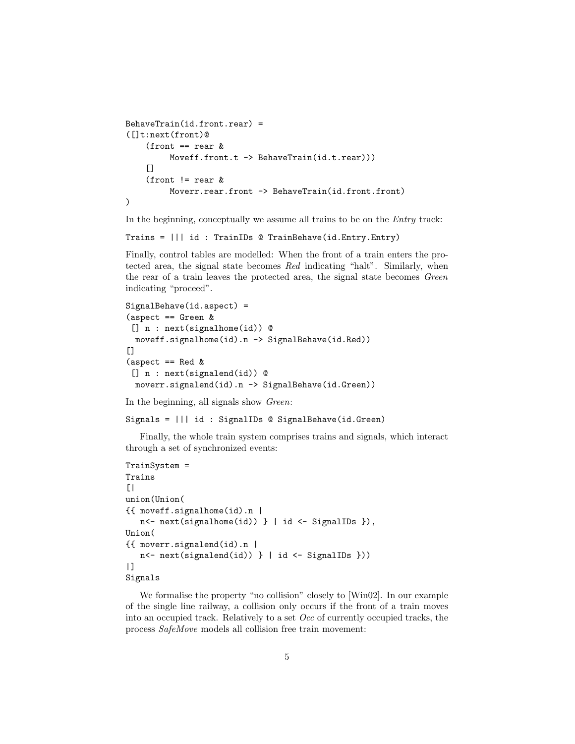```
BehaveTrain(id.front.rear) =
([]t:next(front)@
    (front == rear &Moveff.front.t -> BehaveTrain(id.t.rear)))
    \lceil]
    (front != rear &
         Moverr.rear.front -> BehaveTrain(id.front.front)
)
```
In the beginning, conceptually we assume all trains to be on the Entry track:

```
Trains = ||| id : TrainIDs @ TrainBehave(id.Entry.Entry)
```
Finally, control tables are modelled: When the front of a train enters the protected area, the signal state becomes Red indicating "halt". Similarly, when the rear of a train leaves the protected area, the signal state becomes Green indicating "proceed".

```
SignalBehave(id.aspect) =
(\text{aspect} == \text{Green} \&[] n : next(signalhome(id)) ©
  moveff.signalhome(id).n -> SignalBehave(id.Red))
\lceil]
(aspect == Red &
 [] n : next(signalend(id)) @moverr.signalend(id).n -> SignalBehave(id.Green))
```
In the beginning, all signals show Green:

Signals = ||| id : SignalIDs @ SignalBehave(id.Green)

Finally, the whole train system comprises trains and signals, which interact through a set of synchronized events:

```
TrainSystem =
Trains
\Boxunion(Union(
{{ moveff.signalhome(id).n |
   n<- next(signalhome(id)) } | id <- SignalIDs }),
Union(
{{ moverr.signalend(id).n |
   n<- next(signalend(id)) } | id <- SignalIDs }))
|]
Signals
```
We formalise the property "no collision" closely to [Win02]. In our example of the single line railway, a collision only occurs if the front of a train moves into an occupied track. Relatively to a set Occ of currently occupied tracks, the process SafeMove models all collision free train movement: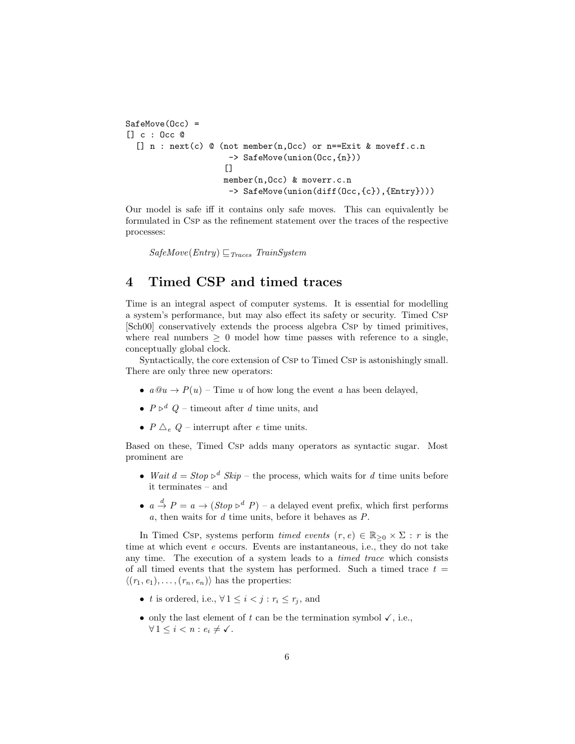```
SafeMove(Occ) =
[] c : Occ @
  [] n : next(c) \& (not member(n, Occ) or n==Exit & moveff.c.n
                      -> SafeMove(union(Occ,{n}))
                     \lceil]
                     member(n,Occ) & moverr.c.n
                      -> SafeMove(union(diff(Occ,{c}),{Entry})))
```
Our model is safe iff it contains only safe moves. This can equivalently be formulated in Csp as the refinement statement over the traces of the respective processes:

 $SafeMove(Entry) \sqsubseteq_{Trace} TrainSystem$ 

## 4 Timed CSP and timed traces

Time is an integral aspect of computer systems. It is essential for modelling a system's performance, but may also effect its safety or security. Timed Csp [Sch00] conservatively extends the process algebra Csp by timed primitives, where real numbers  $\geq 0$  model how time passes with reference to a single, conceptually global clock.

Syntactically, the core extension of Csp to Timed Csp is astonishingly small. There are only three new operators:

- $a@u \rightarrow P(u)$  Time u of how long the event a has been delayed,
- $P \triangleright^d Q$  timeout after d time units, and
- $P \triangle_e Q$  interrupt after e time units.

Based on these, Timed Csp adds many operators as syntactic sugar. Most prominent are

- *Wait*  $d = Stop \geq d$  *Skip* the process, which waits for d time units before it terminates – and
- $a \stackrel{d}{\rightarrow} P = a \rightarrow (Stop \triangleright^d P)$  a delayed event prefix, which first performs  $a$ , then waits for  $d$  time units, before it behaves as  $P$ .

In Timed Csp, systems perform timed events  $(r, e) \in \mathbb{R}_{\geq 0} \times \Sigma : r$  is the time at which event e occurs. Events are instantaneous, i.e., they do not take any time. The execution of a system leads to a timed trace which consists of all timed events that the system has performed. Such a timed trace  $t =$  $\langle (r_1, e_1), \ldots, (r_n, e_n) \rangle$  has the properties:

- t is ordered, i.e.,  $\forall 1 \leq i < j : r_i \leq r_j$ , and
- only the last element of t can be the termination symbol  $\checkmark$ , i.e.,  $\forall 1 \leq i < n : e_i \neq \checkmark$ .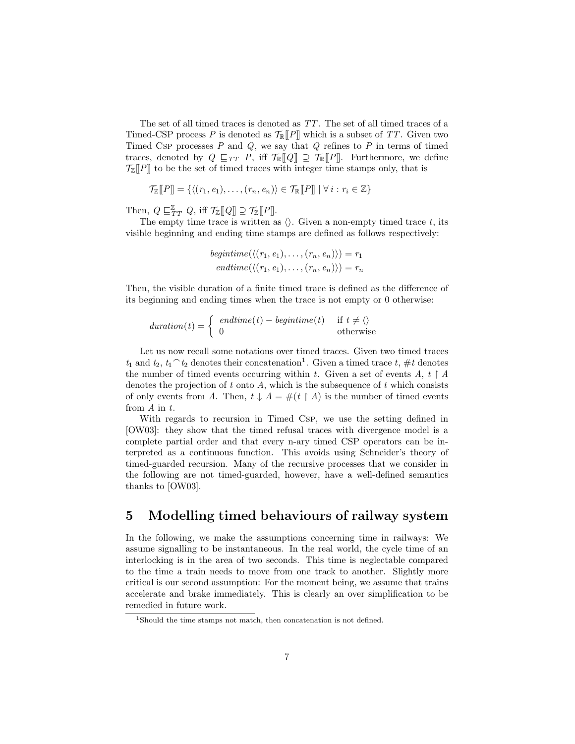The set of all timed traces is denoted as TT. The set of all timed traces of a Timed-CSP process P is denoted as  $\mathcal{T}_{\mathbb{R}}[P]$  which is a subset of TT. Given two Timed CsP processes  $P$  and  $Q$ , we say that  $Q$  refines to  $P$  in terms of timed traces, denoted by  $Q \sqsubseteq_{TT} P$ , iff  $\mathcal{T}_{\mathbb{R}}[[Q]] \supseteq \mathcal{T}_{\mathbb{R}}[[P]]$ . Furthermore, we define  $\mathcal{T}_{\mathbb{Z}}[P]$  to be the set of timed traces with integer time stamps only, that is

$$
\mathcal{T}_{\mathbb{Z}}[\![P]\!] = \{ \langle (r_1, e_1), \ldots, (r_n, e_n) \rangle \in \mathcal{T}_{\mathbb{R}}[\![P]\!] \mid \forall i : r_i \in \mathbb{Z} \}
$$

Then,  $Q \sqsubseteq_{TT}^{\mathbb{Z}} Q$ , iff  $\mathcal{T}_{\mathbb{Z}}[\llbracket Q \rrbracket \supseteq \mathcal{T}_{\mathbb{Z}}[\llbracket P \rrbracket]$ .

The empty time trace is written as  $\langle \rangle$ . Given a non-empty timed trace t, its visible beginning and ending time stamps are defined as follows respectively:

$$
begintime(\langle (r_1, e_1), \ldots, (r_n, e_n) \rangle) = r_1
$$
  
 
$$
endtime(\langle (r_1, e_1), \ldots, (r_n, e_n) \rangle) = r_n
$$

Then, the visible duration of a finite timed trace is defined as the difference of its beginning and ending times when the trace is not empty or 0 otherwise:

$$
duration(t) = \begin{cases}endtime(t) - beginning(t) & \text{if } t \neq \langle \rangle \\ 0 & \text{otherwise} \end{cases}
$$

Let us now recall some notations over timed traces. Given two timed traces Let us now recan some notations over timed traces. Given two timed traces  $t_1$  and  $t_2$ ,  $t_1 \, \hat{} t_2$  denotes their concatenation<sup>1</sup>. Given a timed trace  $t, \#t$  denotes the number of timed events occurring within t. Given a set of events A,  $t \upharpoonright A$ denotes the projection of  $t$  onto  $A$ , which is the subsequence of  $t$  which consists of only events from A. Then,  $t \downarrow A = \#(t \upharpoonright A)$  is the number of timed events from A in t.

With regards to recursion in Timed Csp, we use the setting defined in [OW03]: they show that the timed refusal traces with divergence model is a complete partial order and that every n-ary timed CSP operators can be interpreted as a continuous function. This avoids using Schneider's theory of timed-guarded recursion. Many of the recursive processes that we consider in the following are not timed-guarded, however, have a well-defined semantics thanks to [OW03].

### 5 Modelling timed behaviours of railway system

In the following, we make the assumptions concerning time in railways: We assume signalling to be instantaneous. In the real world, the cycle time of an interlocking is in the area of two seconds. This time is neglectable compared to the time a train needs to move from one track to another. Slightly more critical is our second assumption: For the moment being, we assume that trains accelerate and brake immediately. This is clearly an over simplification to be remedied in future work.

<sup>&</sup>lt;sup>1</sup>Should the time stamps not match, then concatenation is not defined.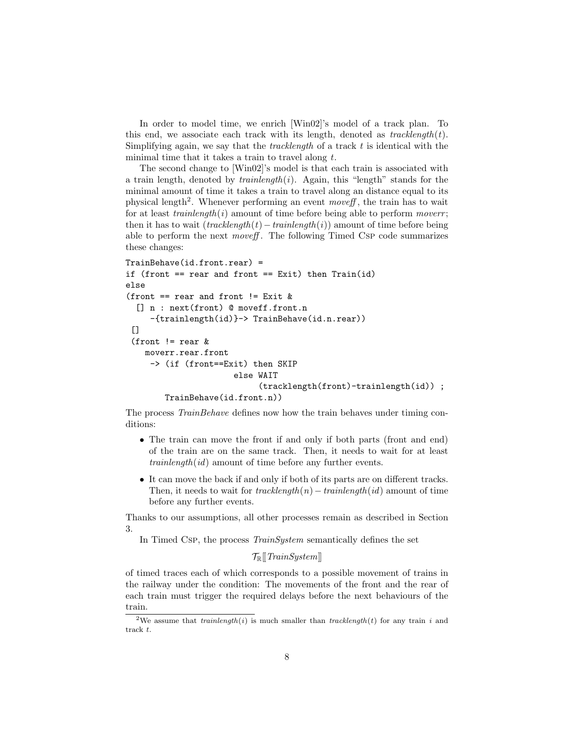In order to model time, we enrich [Win02]'s model of a track plan. To this end, we associate each track with its length, denoted as  $tracklength(t)$ . Simplifying again, we say that the *tracklength* of a track  $t$  is identical with the minimal time that it takes a train to travel along  $t$ .

The second change to [Win02]'s model is that each train is associated with a train length, denoted by  $trainlength(i)$ . Again, this "length" stands for the minimal amount of time it takes a train to travel along an distance equal to its physical length<sup>2</sup>. Whenever performing an event moveff, the train has to wait for at least *trainlength* $(i)$  amount of time before being able to perform *moverr*; then it has to wait  $(tracklength(t)-trainlength(i))$  amount of time before being able to perform the next *moveff*. The following Timed CsP code summarizes these changes:

```
TrainBehave(id.front.rear) =
if (front == rear and front == Exit) then Train(id)
else
(front == rear and front != Exit &
  [] n : next(front) @ moveff.front.n
     -{trainlength(id)}-> TrainBehave(id.n.rear))
 \lceil]
 (front != rear \&moverr.rear.front
     -> (if (front==Exit) then SKIP
                       else WAIT
                            (tracklength(front)-trainlength(id)) ;
        TrainBehave(id.front.n))
```
The process *TrainBehave* defines now how the train behaves under timing conditions:

- The train can move the front if and only if both parts (front and end) of the train are on the same track. Then, it needs to wait for at least  $trainlength(id)$  amount of time before any further events.
- It can move the back if and only if both of its parts are on different tracks. Then, it needs to wait for  $tracklength(n) - trainlength(id)$  amount of time before any further events.

Thanks to our assumptions, all other processes remain as described in Section 3.

In Timed Csp, the process *TrainSystem* semantically defines the set

 $\mathcal{T}_{\mathbb{R}}[\left\lceil\mathit{TrainSystem}\right\rceil]$ 

of timed traces each of which corresponds to a possible movement of trains in the railway under the condition: The movements of the front and the rear of each train must trigger the required delays before the next behaviours of the train.

<sup>&</sup>lt;sup>2</sup>We assume that trainlength(i) is much smaller than tracklength(t) for any train i and track t.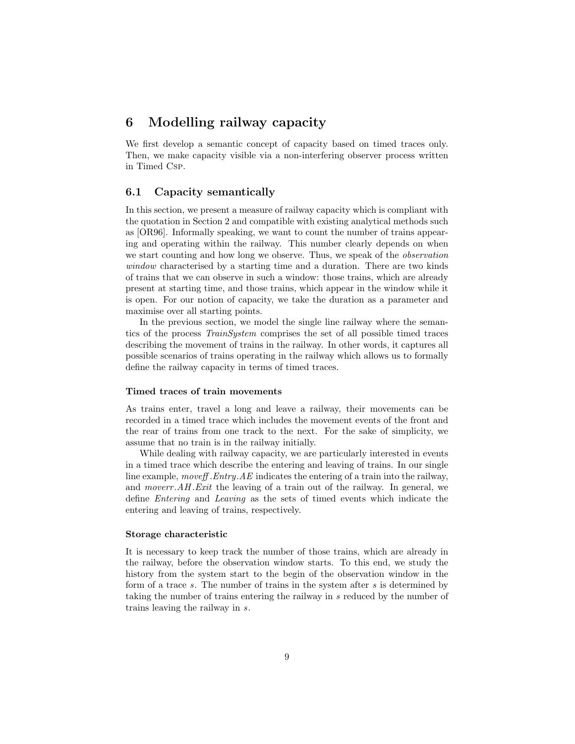# 6 Modelling railway capacity

We first develop a semantic concept of capacity based on timed traces only. Then, we make capacity visible via a non-interfering observer process written in Timed Csp.

### 6.1 Capacity semantically

In this section, we present a measure of railway capacity which is compliant with the quotation in Section 2 and compatible with existing analytical methods such as [OR96]. Informally speaking, we want to count the number of trains appearing and operating within the railway. This number clearly depends on when we start counting and how long we observe. Thus, we speak of the observation window characterised by a starting time and a duration. There are two kinds of trains that we can observe in such a window: those trains, which are already present at starting time, and those trains, which appear in the window while it is open. For our notion of capacity, we take the duration as a parameter and maximise over all starting points.

In the previous section, we model the single line railway where the semantics of the process TrainSystem comprises the set of all possible timed traces describing the movement of trains in the railway. In other words, it captures all possible scenarios of trains operating in the railway which allows us to formally define the railway capacity in terms of timed traces.

#### Timed traces of train movements

As trains enter, travel a long and leave a railway, their movements can be recorded in a timed trace which includes the movement events of the front and the rear of trains from one track to the next. For the sake of simplicity, we assume that no train is in the railway initially.

While dealing with railway capacity, we are particularly interested in events in a timed trace which describe the entering and leaving of trains. In our single line example, moveff .Entry.AE indicates the entering of a train into the railway, and moverr  $AH$ . Exit the leaving of a train out of the railway. In general, we define Entering and Leaving as the sets of timed events which indicate the entering and leaving of trains, respectively.

#### Storage characteristic

It is necessary to keep track the number of those trains, which are already in the railway, before the observation window starts. To this end, we study the history from the system start to the begin of the observation window in the form of a trace s. The number of trains in the system after s is determined by taking the number of trains entering the railway in s reduced by the number of trains leaving the railway in s.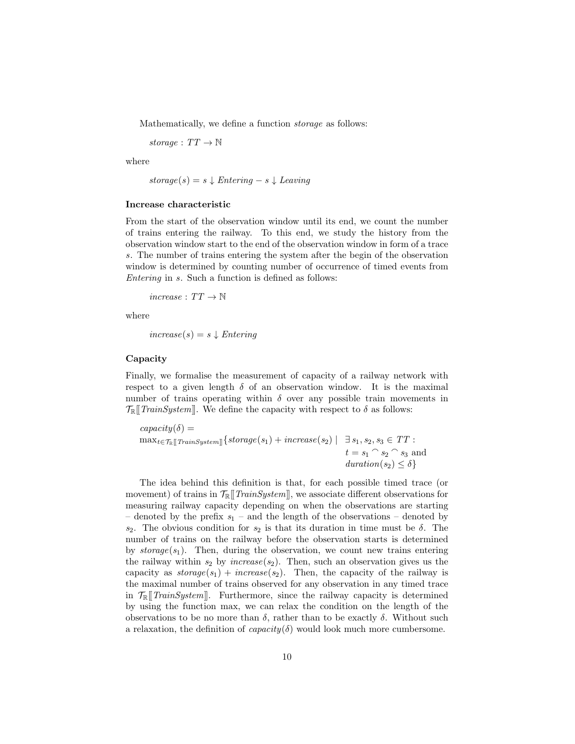Mathematically, we define a function storage as follows:

storage :  $TT \rightarrow \mathbb{N}$ 

where

 $storage(s) = s \downarrow Enterprise - s \downarrow Learning$ 

#### Increase characteristic

From the start of the observation window until its end, we count the number of trains entering the railway. To this end, we study the history from the observation window start to the end of the observation window in form of a trace s. The number of trains entering the system after the begin of the observation window is determined by counting number of occurrence of timed events from Entering in s. Such a function is defined as follows:

 $increase:TT\rightarrow\mathbb{N}$ 

where

 $increase(s) = s \downarrow Enterprise$ 

#### Capacity

Finally, we formalise the measurement of capacity of a railway network with respect to a given length  $\delta$  of an observation window. It is the maximal number of trains operating within  $\delta$  over any possible train movements in  $\mathcal{T}_{\mathbb{R}}[\![\mathit{TrainSystem}]\!]$ . We define the capacity with respect to  $\delta$  as follows:

$$
capacity(\delta) = \max_{t \in \mathcal{T}_{\mathbb{R}}[[\text{TrainSystem}]]}{\lbrace storage(s_1) + increase(s_2) \mid \exists s_1, s_2, s_3 \in TT : t = s_1 \cap s_2 \cap s_3 \text{ and } \text{duration}(s_2) \leq \delta \rbrace}
$$

The idea behind this definition is that, for each possible timed trace (or movement) of trains in  $\mathcal{T}_{\mathbb{R}}[\![\mathit{TrainSystem}]\!]$ , we associate different observations for measuring railway capacity depending on when the observations are starting – denoted by the prefix  $s_1$  – and the length of the observations – denoted by s<sub>2</sub>. The obvious condition for s<sub>2</sub> is that its duration in time must be  $\delta$ . The number of trains on the railway before the observation starts is determined by storage( $s_1$ ). Then, during the observation, we count new trains entering the railway within  $s_2$  by  $increase(s_2)$ . Then, such an observation gives us the capacity as  $storage(s_1) + increase(s_2)$ . Then, the capacity of the railway is the maximal number of trains observed for any observation in any timed trace in  $\mathcal{T}_{\mathbb{R}}[T_{\text{train}}\text{System}]$ . Furthermore, since the railway capacity is determined by using the function max, we can relax the condition on the length of the observations to be no more than  $\delta$ , rather than to be exactly  $\delta$ . Without such a relaxation, the definition of  $capacity(\delta)$  would look much more cumbersome.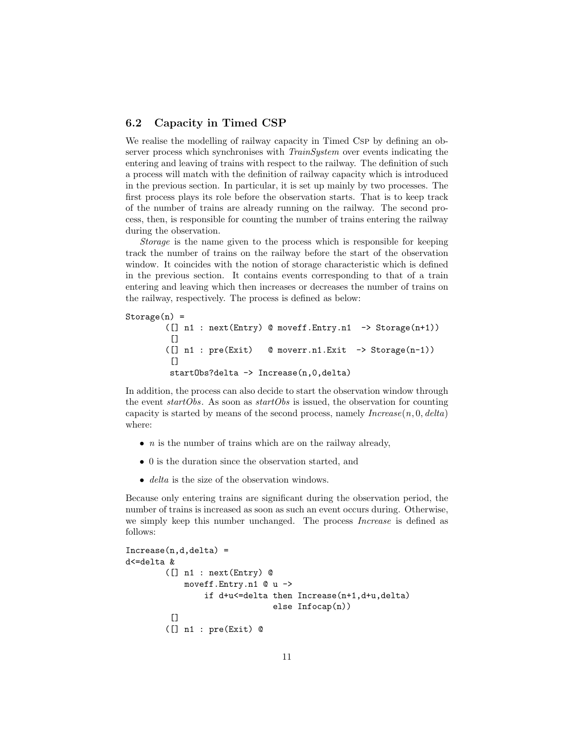### 6.2 Capacity in Timed CSP

We realise the modelling of railway capacity in Timed Csp by defining an observer process which synchronises with  $TrainSystem$  over events indicating the entering and leaving of trains with respect to the railway. The definition of such a process will match with the definition of railway capacity which is introduced in the previous section. In particular, it is set up mainly by two processes. The first process plays its role before the observation starts. That is to keep track of the number of trains are already running on the railway. The second process, then, is responsible for counting the number of trains entering the railway during the observation.

Storage is the name given to the process which is responsible for keeping track the number of trains on the railway before the start of the observation window. It coincides with the notion of storage characteristic which is defined in the previous section. It contains events corresponding to that of a train entering and leaving which then increases or decreases the number of trains on the railway, respectively. The process is defined as below:

```
Storage(n) =([] n1 : next(Entry) @ moveff. Entry.n1 -> Storage(n+1))
         \Box([] n1 : pre(Exit) @ moverr.n1.Exit -> Storage(n-1))
         [startObs?delta -> Increase(n, 0, delta)
```
In addition, the process can also decide to start the observation window through the event  $startObs$ . As soon as  $startObs$  is issued, the observation for counting capacity is started by means of the second process, namely  $\textit{Increase}(n, 0, \textit{delta})$ where:

- $\bullet$  *n* is the number of trains which are on the railway already,
- 0 is the duration since the observation started, and
- delta is the size of the observation windows.

Because only entering trains are significant during the observation period, the number of trains is increased as soon as such an event occurs during. Otherwise, we simply keep this number unchanged. The process Increase is defined as follows:

```
Increase(n,d,delta) =d<=delta &
        ([] n1 : next(Entry) @
            moveff.Entry.n1 @ u ->
                if d+u<=delta then Increase(n+1,d+u,delta)
                               else Infocap(n))
         \lceil([] n1 : pre(Exit) @
```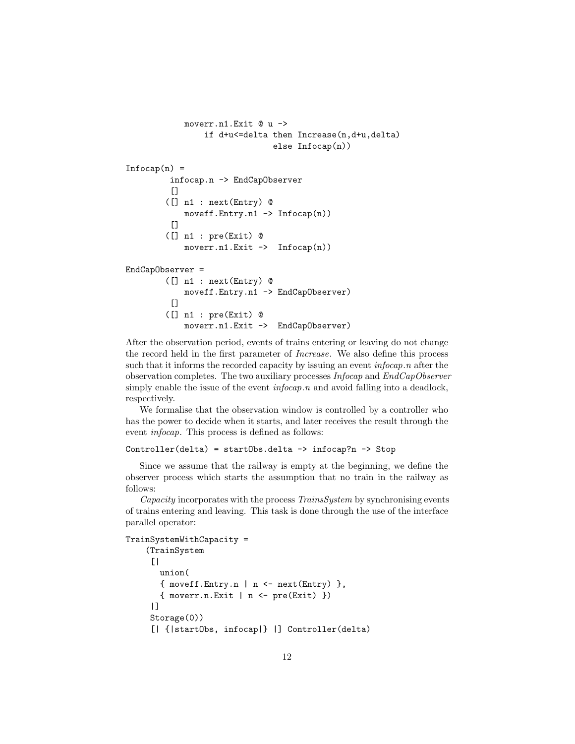```
moverr.n1.Exit @ u ->
                if d+u<=delta then Increase(n,d+u,delta)
                               else Infocap(n))
Infocap(n) =infocap.n -> EndCapObserver
         \Box([] n1 : next(Entry) @
            moveff.Entry.n1 -> Infocap(n))
         \lceil]
        ([] n1 : pre(Exit) @
            moverr.n1.Exit -> Infocap(n))
EndCapObserver =
        ([] n1 : next(Entry) @
            moveff.Entry.n1 -> EndCapObserver)
         [([] n1 : pre(Exit) @
            moverr.n1.Exit -> EndCapObserver)
```
After the observation period, events of trains entering or leaving do not change the record held in the first parameter of Increase. We also define this process such that it informs the recorded capacity by issuing an event *infocap.n* after the observation completes. The two auxiliary processes Infocap and EndCapObserver simply enable the issue of the event  $infocap.n$  and avoid falling into a deadlock, respectively.

We formalise that the observation window is controlled by a controller who has the power to decide when it starts, and later receives the result through the event infocap. This process is defined as follows:

### Controller(delta) = startObs.delta -> infocap?n -> Stop

Since we assume that the railway is empty at the beginning, we define the observer process which starts the assumption that no train in the railway as follows:

Capacity incorporates with the process TrainsSystem by synchronising events of trains entering and leaving. This task is done through the use of the interface parallel operator:

```
TrainSystemWithCapacity =
```

```
(TrainSystem
[union(
  { moveff.Entry.n | n <- next(Entry) },
  { moverr.n. Exit | n \leftarrow pre(Exit) })
|]
Storage(0))
[| {|startObs, infocap|} |] Controller(delta)
```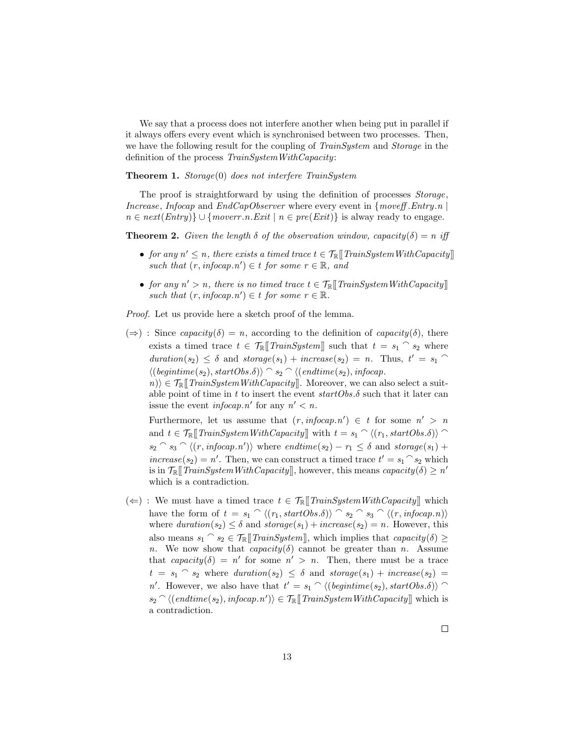We say that a process does not interfere another when being put in parallel if it always offers every event which is synchronised between two processes. Then, we have the following result for the coupling of TrainSystem and Storage in the definition of the process  $TrainSystemWith Capacity:$ 

**Theorem 1.** Storage $(0)$  does not interfere TrainSystem

The proof is straightforward by using the definition of processes *Storage*, Increase, Infocap and  $EndCapObserver$  where every event in  ${^{m}open}$ . Entry, n  $n \in next(Entry)$   $\cup$  {moverr. n. Exit |  $n \in pre(Exit)$ } is alway ready to engage.

**Theorem 2.** Given the length  $\delta$  of the observation window, capacity( $\delta$ ) = n iff

- for any  $n' \leq n$ , there exists a timed trace  $t \in \mathcal{T}_{\mathbb{R}}[\![\![\![\mathit{TrainSystemWithCapacity}]\!]$ such that  $(r, infocap.n') \in t$  for some  $r \in \mathbb{R}$ , and
- for any  $n' > n$ , there is no timed trace  $t \in \mathcal{T}_{\mathbb{R}}[[\text{TrainSystemWithCapacity}]]$ such that  $(r, infocap.n') \in t$  for some  $r \in \mathbb{R}$ .

Proof. Let us provide here a sketch proof of the lemma.

 $(\Rightarrow)$ : Since capacity( $\delta$ ) = n, according to the definition of capacity( $\delta$ ), there exists a timed trace  $t \in \mathcal{T}_{\mathbb{R}}[\![\![\mathit{TrainSystem}]\!]$  such that  $t = s_1 \cap s_2$  where  $duration(s_2) \leq \delta$  and  $storage(s_1) + increase(s_2) = n$ . Thus,  $t' = s_1$  $\langle \text{(begintime(s_2), startObs.5)} \rangle \cap s_2 \cap \langle \text{(endtime(s_2), infocap.$ 

 $n\in \mathcal{T}_{\mathbb{R}}[T_{\text{train}}\text{SystemWithCapacity}].$  Moreover, we can also select a suitable point of time in t to insert the event  $startObs.\delta$  such that it later can issue the event *infocap.n'* for any  $n' < n$ .

Furthermore, let us assume that  $(r, infocap.n') \in t$  for some  $n' > n$ and  $t \in \mathcal{T}_{\mathbb{R}}[\![\mathit{TrainSystemWithCapacity}]\!]$  with  $t = s_1 \cap \langle (r_1, startObs.\delta) \rangle \cap$  $s_2 \cap s_3 \cap \langle (r, infocap.n') \rangle$  where  $endtime(s_2) - r_1 \leq \delta$  and  $stronge(s_1) +$ increase(s<sub>2</sub>) = n'. Then, we can construct a timed trace  $t' = s_1 \text{ }^{\circ} s_2$  which is in  $\mathcal{T}_{\mathbb{R}}[\![\mathit{TrainSystemWith Capacity}]\!]$ , however, this means  $capacity(\delta) \geq n'$ which is a contradiction.

(←): We must have a timed trace  $t \in \mathcal{T}_{\mathbb{R}}[[\text{TrainSystemWith Capacity}]]$  which have the form of  $t = s_1 \cap \langle (r_1, startObs.\delta) \rangle \cap s_2 \cap s_3 \cap \langle (r, infocap.n) \rangle$ where  $duration(s_2) \leq \delta$  and  $storage(s_1) + increase(s_2) = n$ . However, this also means  $s_1 \cap s_2 \in \mathcal{T}_{\mathbb{R}}[[\text{TrainSystem}]],$  which implies that  $\text{capacity}(\delta) \geq$ n. We now show that  $capacity(\delta)$  cannot be greater than n. Assume that capacity( $\delta$ ) = n' for some  $n' > n$ . Then, there must be a trace  $t = s_1 \cap s_2$  where  $duration(s_2) \leq \delta$  and  $storage(s_1) + increase(s_2)$ n'. However, we also have that  $t' = s_1 \cap \langle (beginline{ineatrix} s_2 \\ (beginline{bmatrix} s_1 \end{bmatrix}), startObs.\delta) \rangle \cap$  $s_2 \cap \langle (endtime(s_2), infocap.n') \rangle \in \mathcal{T}_{\mathbb{R}}[[\text{TrainSystemWith Capacity}]]$  which is a contradiction.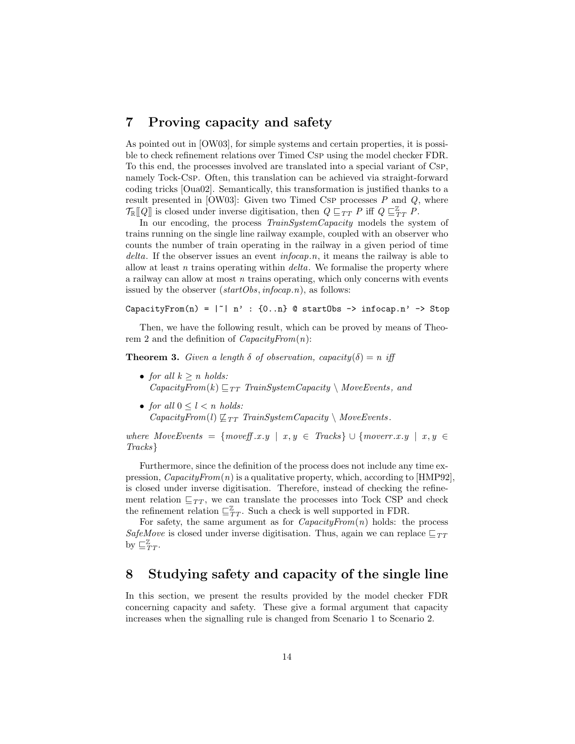## 7 Proving capacity and safety

As pointed out in [OW03], for simple systems and certain properties, it is possible to check refinement relations over Timed Csp using the model checker FDR. To this end, the processes involved are translated into a special variant of Csp, namely Tock-Csp. Often, this translation can be achieved via straight-forward coding tricks [Oua02]. Semantically, this transformation is justified thanks to a result presented in [OW03]: Given two Timed Csp processes  $P$  and  $Q$ , where  $\mathcal{T}_{\mathbb{R}}[\![Q]\!]$  is closed under inverse digitisation, then  $Q \sqsubseteq_{TT} P$  iff  $Q \sqsubseteq_{TT} P$ .

In our encoding, the process TrainSystemCapacity models the system of trains running on the single line railway example, coupled with an observer who counts the number of train operating in the railway in a given period of time delta. If the observer issues an event  $infocap.n$ , it means the railway is able to allow at least n trains operating within  $delta$ . We formalise the property where a railway can allow at most  $n$  trains operating, which only concerns with events issued by the observer  $(startObs, infocap.n)$ , as follows:

### CapacityFrom(n) =  $|$ "| n' : {0..n} @ startObs -> infocap.n' -> Stop

Then, we have the following result, which can be proved by means of Theorem 2 and the definition of  $CapacityFrom(n)$ :

**Theorem 3.** Given a length  $\delta$  of observation, capacity( $\delta$ ) = n iff

- for all  $k > n$  holds:  $CapacityFrom(k) \sqsubseteq_{TT}$  TrainSystemCapacity \ MoveEvents, and
- for all  $0 \leq l < n$  holds:  $CapacityFrom(l) \nsubseteq_{TT} TrainSystem Capacity \setminus MoveEvents.$

where MoveEvents =  ${move}$   ${move}$   ${x,y \in {Tacks}}$   $\cup {move}$   ${x,y \in$ Tracks}

Furthermore, since the definition of the process does not include any time expression,  $CapacityFrom(n)$  is a qualitative property, which, according to [HMP92]. is closed under inverse digitisation. Therefore, instead of checking the refinement relation  $\sqsubseteq_{TT}$ , we can translate the processes into Tock CSP and check the refinement relation  $\sqsubseteq^{\mathbb{Z}}_{TT}$ . Such a check is well supported in FDR.

For safety, the same argument as for  $CapacityFrom(n)$  holds: the process SafeMove is closed under inverse digitisation. Thus, again we can replace  $\sqsubseteq_{TT}$ by  $\sqsubseteq^{\mathbb{Z}}_{TT}$ .

### 8 Studying safety and capacity of the single line

In this section, we present the results provided by the model checker FDR concerning capacity and safety. These give a formal argument that capacity increases when the signalling rule is changed from Scenario 1 to Scenario 2.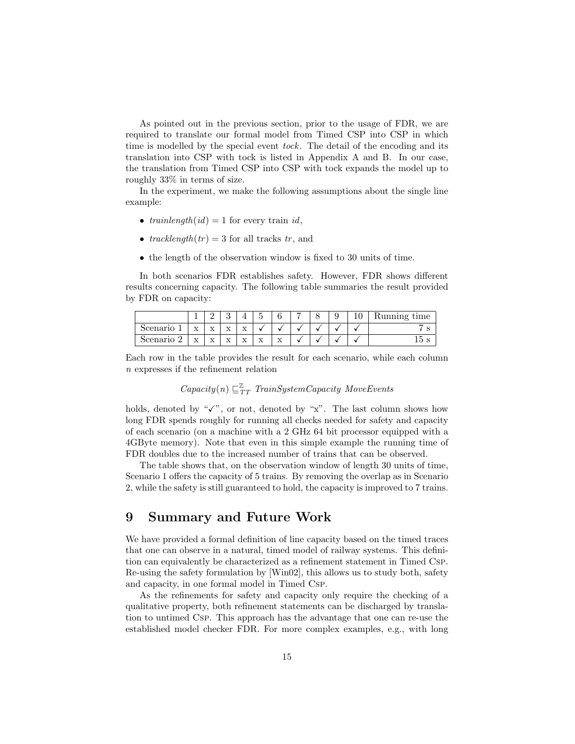As pointed out in the previous section, prior to the usage of FDR, we are required to translate our formal model from Timed CSP into CSP in which time is modelled by the special event *tock*. The detail of the encoding and its translation into CSP with tock is listed in Appendix A and B. In our case, the translation from Timed CSP into CSP with tock expands the model up to roughly 33% in terms of size.

In the experiment, we make the following assumptions about the single line example:

- trainlength(id) = 1 for every train id,
- tracklength(tr) = 3 for all tracks tr, and
- the length of the observation window is fixed to 30 units of time.

In both scenarios FDR establishes safety. However, FDR shows different results concerning capacity. The following table summaries the result provided by FDR on capacity:

|          |                    | -                 |                           |                           | -                  |                |  | ັ | Running time |
|----------|--------------------|-------------------|---------------------------|---------------------------|--------------------|----------------|--|---|--------------|
| Scenario | $\mathbf{v}$<br>∡⊾ | $\mathbf{v}$<br>∡ | $\mathbf{v}$<br>$\Lambda$ | $\mathbf{v}$<br>$\Lambda$ |                    |                |  |   | O            |
| Scenario | $\mathbf{v}$<br>≖  | $\mathbf{v}$<br>⋏ | $\mathbf{r}$<br>$\Lambda$ | 37<br>⋏                   | $\sim$ $\sim$<br>́ | <b>xr</b><br>ឹ |  |   | ⊥∪<br>M      |

Each row in the table provides the result for each scenario, while each column n expresses if the refinement relation

 $Capacity(n) \sqsubseteq_{TT}^{\mathbb{Z}}$  TrainSystemCapacity MoveEvents

holds, denoted by " $\checkmark$ ", or not, denoted by "x". The last column shows how long FDR spends roughly for running all checks needed for safety and capacity of each scenario (on a machine with a 2 GHz 64 bit processor equipped with a 4GByte memory). Note that even in this simple example the running time of FDR doubles due to the increased number of trains that can be observed.

The table shows that, on the observation window of length 30 units of time, Scenario 1 offers the capacity of 5 trains. By removing the overlap as in Scenario 2, while the safety is still guaranteed to hold, the capacity is improved to 7 trains.

### 9 Summary and Future Work

We have provided a formal definition of line capacity based on the timed traces that one can observe in a natural, timed model of railway systems. This definition can equivalently be characterized as a refinement statement in Timed Csp. Re-using the safety formulation by [Win02], this allows us to study both, safety and capacity, in one formal model in Timed Csp.

As the refinements for safety and capacity only require the checking of a qualitative property, both refinement statements can be discharged by translation to untimed Csp. This approach has the advantage that one can re-use the established model checker FDR. For more complex examples, e.g., with long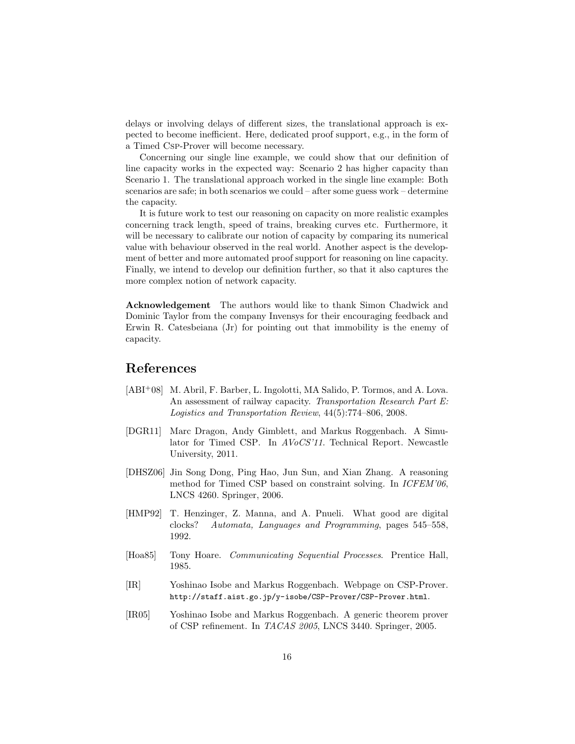delays or involving delays of different sizes, the translational approach is expected to become inefficient. Here, dedicated proof support, e.g., in the form of a Timed Csp-Prover will become necessary.

Concerning our single line example, we could show that our definition of line capacity works in the expected way: Scenario 2 has higher capacity than Scenario 1. The translational approach worked in the single line example: Both scenarios are safe; in both scenarios we could – after some guess work – determine the capacity.

It is future work to test our reasoning on capacity on more realistic examples concerning track length, speed of trains, breaking curves etc. Furthermore, it will be necessary to calibrate our notion of capacity by comparing its numerical value with behaviour observed in the real world. Another aspect is the development of better and more automated proof support for reasoning on line capacity. Finally, we intend to develop our definition further, so that it also captures the more complex notion of network capacity.

Acknowledgement The authors would like to thank Simon Chadwick and Dominic Taylor from the company Invensys for their encouraging feedback and Erwin R. Catesbeiana (Jr) for pointing out that immobility is the enemy of capacity.

# References

- [ABI+08] M. Abril, F. Barber, L. Ingolotti, MA Salido, P. Tormos, and A. Lova. An assessment of railway capacity. Transportation Research Part E: Logistics and Transportation Review, 44(5):774–806, 2008.
- [DGR11] Marc Dragon, Andy Gimblett, and Markus Roggenbach. A Simulator for Timed CSP. In AVoCS'11. Technical Report. Newcastle University, 2011.
- [DHSZ06] Jin Song Dong, Ping Hao, Jun Sun, and Xian Zhang. A reasoning method for Timed CSP based on constraint solving. In ICFEM'06, LNCS 4260. Springer, 2006.
- [HMP92] T. Henzinger, Z. Manna, and A. Pnueli. What good are digital clocks? Automata, Languages and Programming, pages 545–558, 1992.
- [Hoa85] Tony Hoare. Communicating Sequential Processes. Prentice Hall, 1985.
- [IR] Yoshinao Isobe and Markus Roggenbach. Webpage on CSP-Prover. http://staff.aist.go.jp/y-isobe/CSP-Prover/CSP-Prover.html.
- [IR05] Yoshinao Isobe and Markus Roggenbach. A generic theorem prover of CSP refinement. In TACAS 2005, LNCS 3440. Springer, 2005.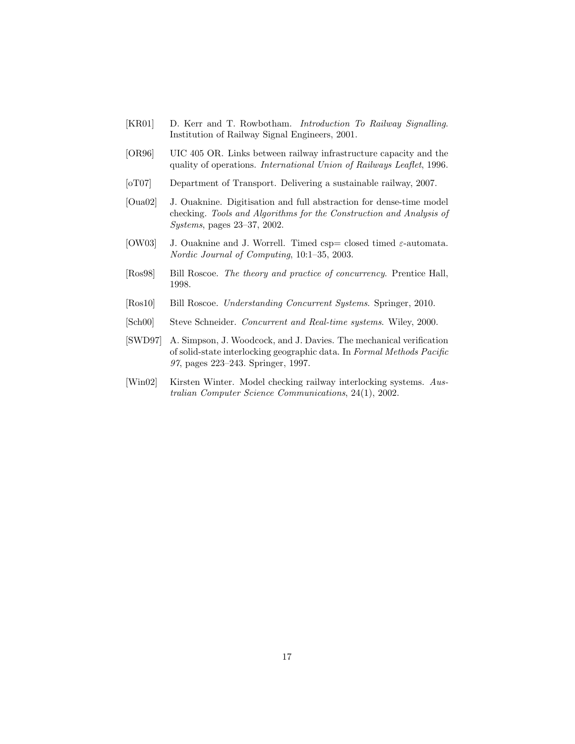- [KR01] D. Kerr and T. Rowbotham. Introduction To Railway Signalling. Institution of Railway Signal Engineers, 2001.
- [OR96] UIC 405 OR. Links between railway infrastructure capacity and the quality of operations. International Union of Railways Leaflet, 1996.
- [oT07] Department of Transport. Delivering a sustainable railway, 2007.
- [Oua02] J. Ouaknine. Digitisation and full abstraction for dense-time model checking. Tools and Algorithms for the Construction and Analysis of Systems, pages 23–37, 2002.
- [OW03] J. Ouaknine and J. Worrell. Timed csp= closed timed  $\varepsilon$ -automata. Nordic Journal of Computing, 10:1–35, 2003.
- [Ros98] Bill Roscoe. The theory and practice of concurrency. Prentice Hall, 1998.
- [Ros10] Bill Roscoe. Understanding Concurrent Systems. Springer, 2010.
- [Sch00] Steve Schneider. Concurrent and Real-time systems. Wiley, 2000.
- [SWD97] A. Simpson, J. Woodcock, and J. Davies. The mechanical verification of solid-state interlocking geographic data. In Formal Methods Pacific 97, pages 223–243. Springer, 1997.
- [Win02] Kirsten Winter. Model checking railway interlocking systems. Australian Computer Science Communications, 24(1), 2002.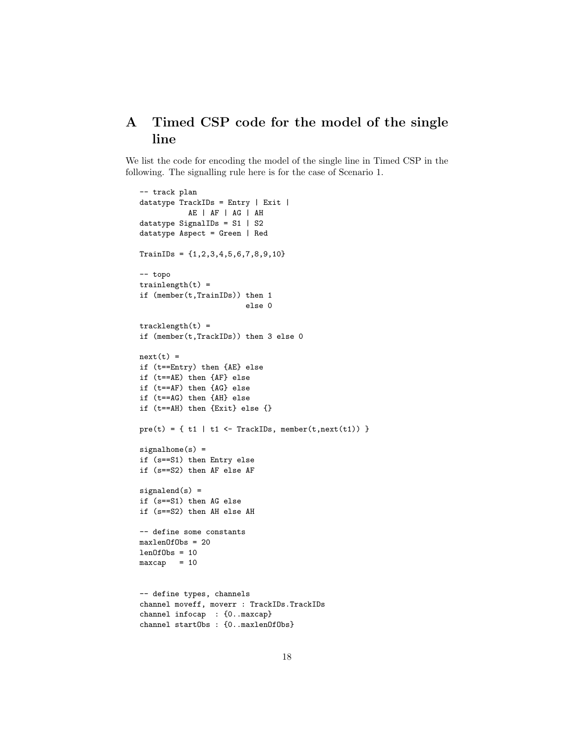# A Timed CSP code for the model of the single line

We list the code for encoding the model of the single line in Timed CSP in the following. The signalling rule here is for the case of Scenario 1.

```
-- track plan
datatype TrackIDs = Entry | Exit |
           AE | AF | AG | AH
datatype SignalIDs = S1 | S2
datatype Aspect = Green | Red
TrainIDs = {1,2,3,4,5,6,7,8,9,10}
-- topo
trainlength(t) =if (member(t,TrainIDs)) then 1
                         else 0
tracklength(t) =if (member(t,TrackIDs)) then 3 else 0
next(t) =if (t==Entry) then {AE} else
if (t==AE) then {AF} else
if (t==AF) then {AG} else
if (t==AG) then {AH} else
if (t==AH) then {Exit} else {}
pre(t) = \{ t1 \mid t1 \leftarrow \text{TrackIDs}, \text{member}(t, \text{next}(t1)) \}signalhome(s) =if (s==S1) then Entry else
if (s==S2) then AF else AF
signalend(s) =if (s==S1) then AG else
if (s==S2) then AH else AH
-- define some constants
maxlenOfObs = 20
lenOfObs = 10maxcap = 10-- define types, channels
channel moveff, moverr : TrackIDs.TrackIDs
channel infocap : {0..maxcap}
```
channel startObs : {0..maxlenOfObs}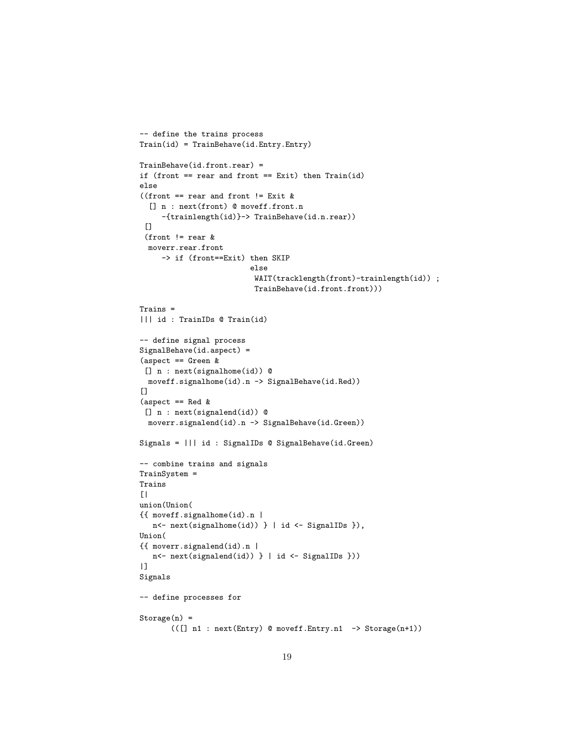```
-- define the trains process
Train(id) = TrainBehave(id.Entry.Entry)
TrainBehave(id.front.rear) =
if (front == rear and front == Exit) then Train(id)
else
((front == rear and front != Exit &
  [] n : next(from) @ moveff.front.n
     -{trainlength(id)}-> TrainBehave(id.n.rear))
 [(front != rear \&moverr.rear.front
     -> if (front==Exit) then SKIP
                          else
                           WAIT(tracklength(front)-trainlength(id)) ;
                           TrainBehave(id.front.front)))
Trains =
||| id : TrainIDs @ Train(id)
-- define signal process
SignalBehave(id.aspect) =
(\text{aspect} == \text{Green} \&[] n : next(signalhome(id)) ©
  moveff.signalhome(id).n -> SignalBehave(id.Red))
[]
(\text{aspect} == \text{Red} \&[] n : next(signalend(id)) @
  moverr.signalend(id).n -> SignalBehave(id.Green))
Signals = ||| id : SignalIDs @ SignalBehave(id.Green)
-- combine trains and signals
TrainSystem =
Trains
\Gamma|
union(Union(
{{ moveff.signalhome(id).n |
   n<- next(signalhome(id)) } | id <- SignalIDs }),
Union(
{{ moverr.signalend(id).n |
   n<- next(signalend(id)) } | id <- SignalIDs }))
|]
Signals
-- define processes for
Storage(n) =\hspace{1.6cm} \left(\text{[] n1 : next(Entry) @ moveff. Entry.n1 -> Storage(n+1)} \right)
```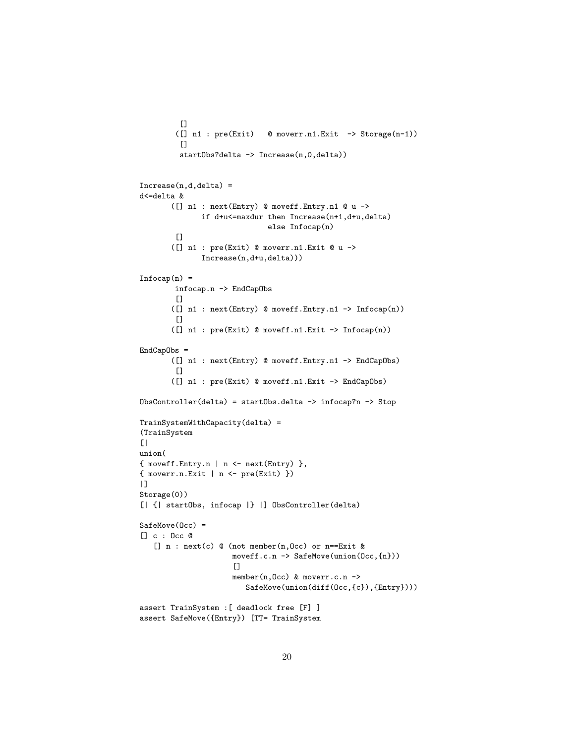```
[]
        ([] n1 : pre(Exit) @ moverr.n1.Exit -> Storage(n-1))
         \BoxstartObs?delta -> Increase(n,0,delta))
Increase(n,d,delta) =d<=delta &
       ([] n1 : next(Entry) @ moveff.Entry.n1 @ u ->
              if d+u<=maxdur then Increase(n+1,d+u,delta)
                             else Infocap(n)
        [([] n1 : pre(Exit) @ moverr.n1.Exit @ u ->
              Increase(n,d+u,delta)))
Infocap(n) =infocap.n -> EndCapObs
        \Box([] n1 : next(Entry) @ moveff.Entry.n1 -> Infocap(n))
        \Box([] n1 : pre(Exit) @ moveff.n1.Exit -> Infocap(n))
EndCapObs =
       ([] n1 : next(Entry) @ moveff.Entry.n1 -> EndCapObs)
        \Box([] n1 : pre(Exit) @ moveff.n1.Exit -> EndCapObs)
ObsController(delta) = startObs.delta -> infocap?n -> Stop
TrainSystemWithCapacity(delta) =
(TrainSystem
[|
union(
{ moveff.Entry.n | n <- next(Entry) },
{ moverr.n. Exit | n \leftarrow pre(Exit) })
|]
Storage(0))
[| {| startObs, infocap |} |] ObsController(delta)
SafeMove(Occ) =
[] c : Occ @
   [] n : next(c) @ (not member(n,0cc) or n==Exit &moveff.c.n -> SafeMove(union(Occ,{n}))
                     \Boxmember(n,Occ) & moverr.c.n ->
                        SafeMove(union(diff(Occ,{c}),{Entry})))
assert TrainSystem :[ deadlock free [F] ]
assert SafeMove({Entry}) [TT= TrainSystem
```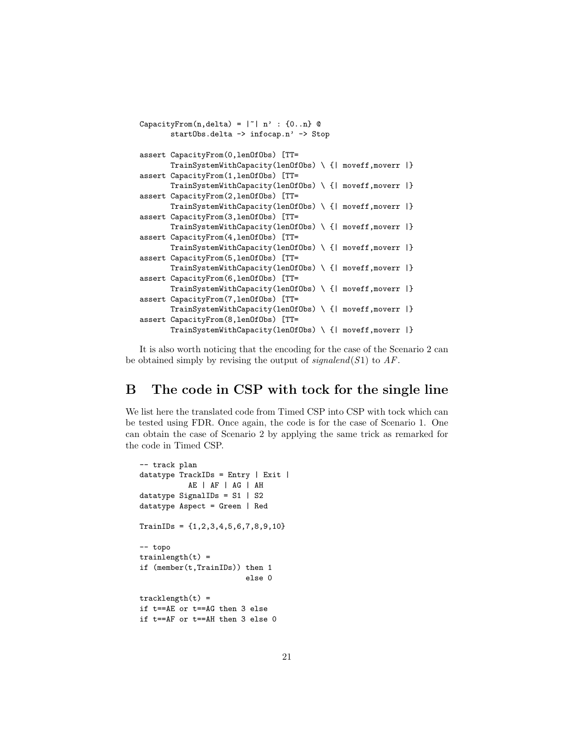```
CapacityFrom(n,delta) = |\tilde{ }| n' : {0..n} @
       startObs.delta -> infocap.n' -> Stop
assert CapacityFrom(0,lenOfObs) [TT=
       TrainSystemWithCapacity(lenOfObs) \ {| moveff,moverr |}
assert CapacityFrom(1,lenOfObs) [TT=
       TrainSystemWithCapacity(lenOfObs) \ {| moveff,moverr |}
assert CapacityFrom(2,lenOfObs) [TT=
       TrainSystemWithCapacity(lenOfObs) \ {| moveff,moverr |}
assert CapacityFrom(3,lenOfObs) [TT=
       TrainSystemWithCapacity(lenOfObs) \ {| moveff,moverr |}
assert CapacityFrom(4,lenOfObs) [TT=
       TrainSystemWithCapacity(lenOfObs) \ {| moveff,moverr |}
assert CapacityFrom(5,lenOfObs) [TT=
       TrainSystemWithCapacity(lenOfObs) \ {| moveff,moverr |}
assert CapacityFrom(6,lenOfObs) [TT=
       TrainSystemWithCapacity(lenOfObs) \ {| moveff,moverr |}
assert CapacityFrom(7,lenOfObs) [TT=
       TrainSystemWithCapacity(lenOfObs) \ {| moveff,moverr |}
assert CapacityFrom(8,lenOfObs) [TT=
       TrainSystemWithCapacity(lenOfObs) \ {| moveff,moverr |}
```
It is also worth noticing that the encoding for the case of the Scenario 2 can be obtained simply by revising the output of  $signal(S1)$  to  $AF$ .

### B The code in CSP with tock for the single line

We list here the translated code from Timed CSP into CSP with tock which can be tested using FDR. Once again, the code is for the case of Scenario 1. One can obtain the case of Scenario 2 by applying the same trick as remarked for the code in Timed CSP.

```
-- track plan
datatype TrackIDs = Entry | Exit |
           AE | AF | AG | AH
datatype SignalIDs = S1 | S2
datatype Aspect = Green | Red
TrainIDs = {1,2,3,4,5,6,7,8,9,10}
-- topo
trainlength(t) =if (member(t,TrainIDs)) then 1
                        else 0
tracklength(t) =if t==AE or t==AG then 3 else
if t==AF or t==AH then 3 else 0
```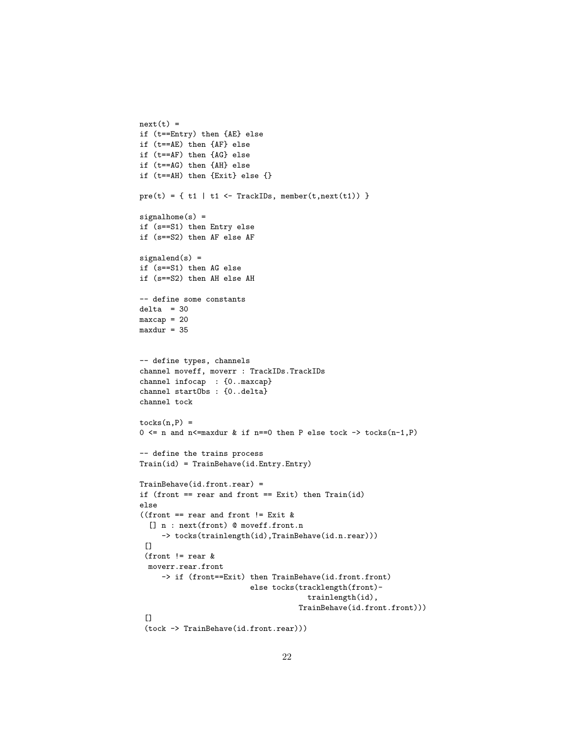```
next(t) =if (t==Entry) then {AE} else
if (t==AE) then {AF} else
if (t==AF) then {AG} else
if (t==AG) then {AH} else
if (t==AH) then {Exit} else {}
pre(t) = \{ t1 \mid t1 \leftarrow \text{TrackIDs}, \text{member}(t, \text{next}(t1)) \}signalhome(s) =
if (s==S1) then Entry else
if (s==S2) then AF else AF
signalend(s) =if (s==S1) then AG else
if (s==S2) then AH else AH
-- define some constants
delta = 30maxcap = 20maxdur = 35-- define types, channels
channel moveff, moverr : TrackIDs.TrackIDs
channel infocap : {0..maxcap}
channel startObs : {0..delta}
channel tock
tocks(n, P) =0 \le n and n \le maxdur & if n == 0 then P else tock \rightarrow tocks(n-1, P)
-- define the trains process
Train(id) = TrainBehave(id.Entry.Entry)
TrainBehave(id.front.rear) =
if (front == rear and front == Exit) then Train(id)
else
((front == rear and front != Exit &
  [] n : next(from) @ moveff.front.n
     -> tocks(trainlength(id),TrainBehave(id.n.rear)))
 \Box(front != rear \&moverr.rear.front
     -> if (front==Exit) then TrainBehave(id.front.front)
                          else tocks(tracklength(front)-
                                        trainlength(id),
                                     TrainBehave(id.front.front)))
 \Box(tock -> TrainBehave(id.front.rear)))
```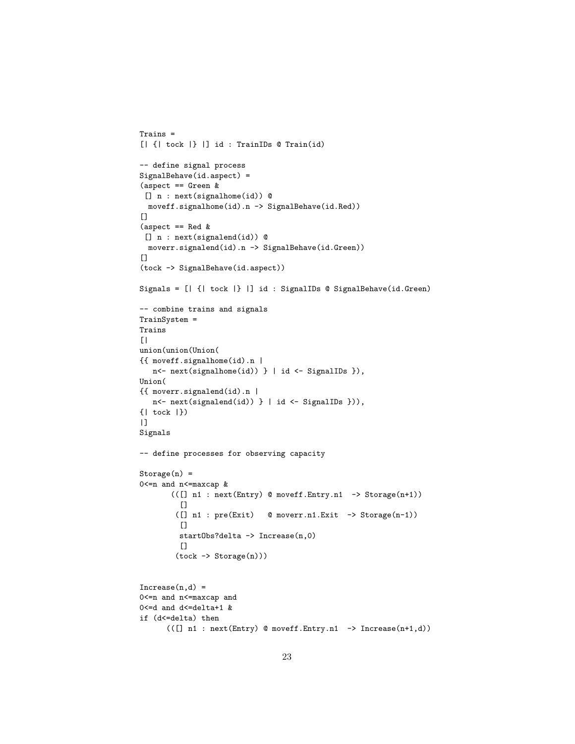```
Trains =
[| {| tock |} |] id : TrainIDs @ Train(id)
-- define signal process
SignalBehave(id.aspect) =
(aspect == Green &
 [] n : next(signalhome(id)) ©
  moveff.signalhome(id).n -> SignalBehave(id.Red))
[(aspect == Red &
 [] n : next(signalend(id)) ©
  moverr.signalend(id).n -> SignalBehave(id.Green))
[]
(tock -> SignalBehave(id.aspect))
Signals = [| {| tock |} |] id : SignalIDs @ SignalBehave(id.Green)
-- combine trains and signals
TrainSystem =
Trains
[[|
union(union(Union(
{{ moveff.signalhome(id).n |
   n<- next(signalhome(id)) } | id <- SignalIDs }),
Union(
{{ moverr.signalend(id).n |
   n<- next(signalend(id)) } | id <- SignalIDs })),
{| tock |})
|]Signals
-- define processes for observing capacity
Storage(n) =0<= n and n<= maxcap &
       (([] n1 : next(Entry) @ moveff.Entry.n1 -> Storage(n+1))
         \Box([] n1 : pre(Exit) @ moverr.n1.Exit -> Storage(n-1))
         []
         startObs?delta -> Increase(n,0)
         [(tock -> Storage(n)))
Increase(n,d) =0<= n and n<= maxcap and
0 <= d and d <= delta+1 &
if (d<=delta) then
      (([] n1 : next(Entry) @ moveff.Entry.n1 -> Increase(n+1,d))
```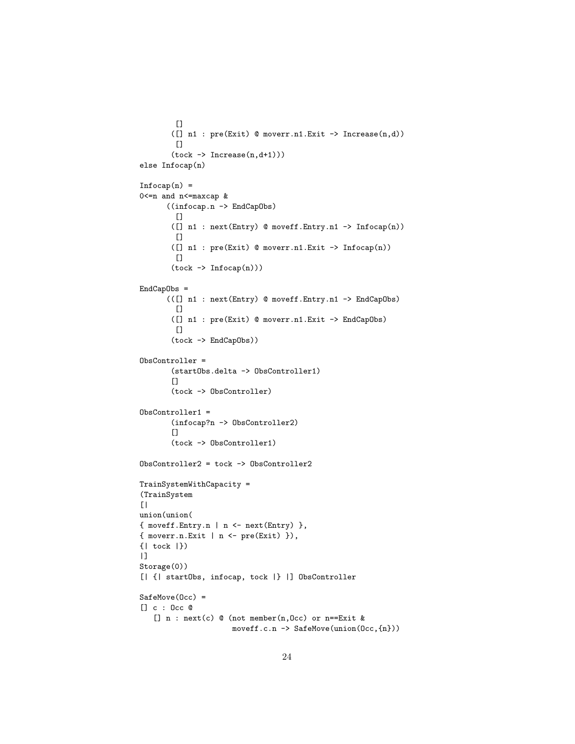```
[]
       ([] n1 : pre(Exit) @ moverr.n1.Exit -> Increase(n,d))
        \Box(tock \rightarrow Increase(n,d+1)))else Infocap(n)
Infocap(n) =0<= n and n<= maxcap &
      ((infocap.n -> EndCapObs)
        \Box([] n1 : next(Entry) @ moveff.Entry.n1 -> Infocap(n))
        \Box([] n1 : pre(Exit) @ moverr.n1.Exit -> Infocap(n))
        []
       (tock \rightarrow Intocap(n)))EndCapObs =
      (([] n1 : next(Entry) @ moveff.Entry.n1 -> EndCapObs)
        []
       ([] n1 : pre(Exit) @ moverr.n1.Exit -> EndCapObs)
        [(tock -> EndCapObs))
ObsController =
       (startObs.delta -> ObsController1)
       []
       (tock -> ObsController)
ObsController1 =
       (infocap?n -> ObsController2)
       []
       (tock -> ObsController1)
ObsController2 = tock -> ObsController2
TrainSystemWithCapacity =
(TrainSystem
[union(union(
{ moveff.Entry.n | n <- next(Entry) },
{ moverr.n.Exit | n <- pre(Exit) }),
{| tock |})
|]Storage(0))
[| {| startObs, infocap, tock |} |] ObsController
SafeMove(Occ) =
[] c : Occ @
   [] n : next(c) @ (not member(n,0cc) or n==Exit &moveff.c.n -> SafeMove(union(Occ,{n}))
```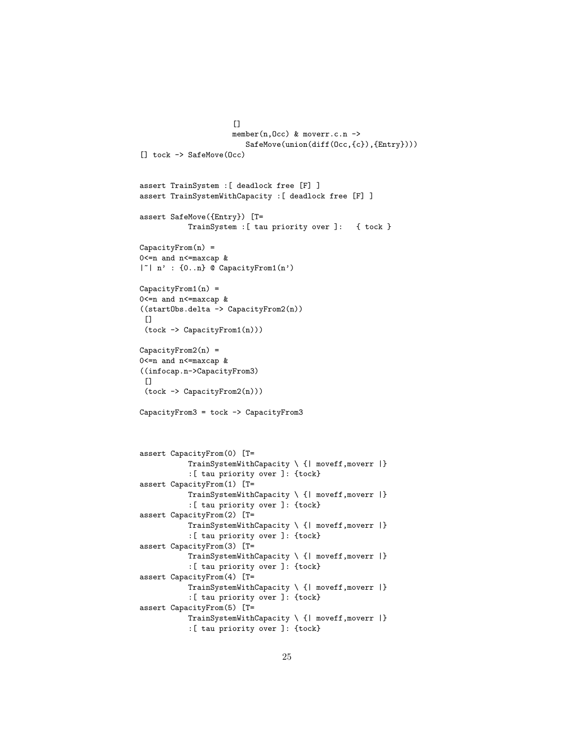```
[]
                     member(n,Occ) & moverr.c.n \rightarrowSafeMove(union(diff(Occ,{c}),{Entry})))
[] tock -> SafeMove(Occ)
assert TrainSystem :[ deadlock free [F] ]
assert TrainSystemWithCapacity :[ deadlock free [F] ]
assert SafeMove({Entry}) [T=
           TrainSystem :[ tau priority over ]: { tock }
CapacityFrom(n) =0<= n and n<= maxcap &
|~| n' : {0..n} @ CapacityFrom1(n')
CapacityFrom1(n) =0<= n and n<= maxcap &
((startObs.delta -> CapacityFrom2(n))
\Box(tock -> CapacityFrom1(n)))
CapacityFrom2(n) =0<= n and n<= maxcap &
((infocap.n->CapacityFrom3)
 [(tock -> CapacityFrom2(n)))
CapacityFrom3 = tock -> CapacityFrom3
assert CapacityFrom(0) [T=
           TrainSystemWithCapacity \ {| moveff,moverr |}
           :[ tau priority over ]: {tock}
assert CapacityFrom(1) [T=
           TrainSystemWithCapacity \ {| moveff,moverr |}
           :[ tau priority over ]: {tock}
assert CapacityFrom(2) [T=
           TrainSystemWithCapacity \ {| moveff,moverr |}
           :[ tau priority over ]: {tock}
assert CapacityFrom(3) [T=
           TrainSystemWithCapacity \ {| moveff,moverr |}
           :[ tau priority over ]: {tock}
assert CapacityFrom(4) [T=
           TrainSystemWithCapacity \ {| moveff, moverr |}
           :[ tau priority over ]: {tock}
assert CapacityFrom(5) [T=
           TrainSystemWithCapacity \ {| moveff,moverr |}
           :[ tau priority over ]: {tock}
```